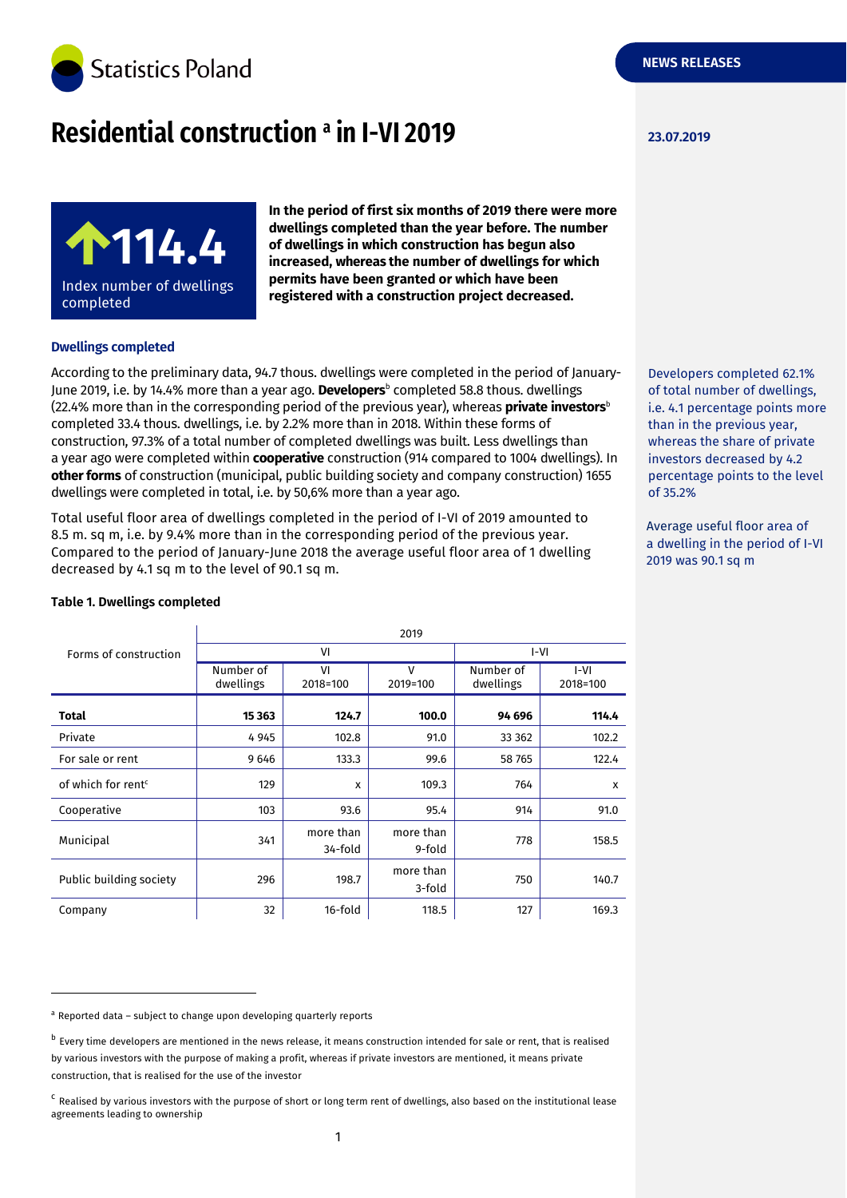

# **Residential construction 23.07.2019 <sup>a</sup> in I-VI 2019**



**In the period of first six months of 2019 there were more dwellings completed than the year before. The number of dwellings in which construction has begun also increased, whereas the number of dwellings for which permits have been granted or which have been registered with a construction project decreased.**

#### **Dwellings completed**

According to the preliminary data, 94.7 thous. dwellings were completed in the period of January-June 2019, i.e. by 14.4% more than a year ago. **Developers**<sup>b</sup> completed 58.8 thous. dwellings (22.4% more than in the corresponding period of the previous year), whereas **private investors**<sup>b</sup> completed 33.4 thous. dwellings, i.e. by 2.2% more than in 2018. Within these forms of construction, 97.3% of a total number of completed dwellings was built. Less dwellings than a year ago were completed within **cooperative** construction (914 compared to 1004 dwellings). In **other forms** of construction (municipal, public building society and company construction) 1655 dwellings were completed in total, i.e. by 50,6% more than a year ago.

Total useful floor area of dwellings completed in the period of I-VI of 2019 amounted to 8.5 m. sq m, i.e. by 9.4% more than in the corresponding period of the previous year. Compared to the period of January-June 2018 the average useful floor area of 1 dwelling decreased by 4.1 sq m to the level of 90.1 sq m.

| Forms of construction          | 2019                   |                      |                          |                        |                           |  |
|--------------------------------|------------------------|----------------------|--------------------------|------------------------|---------------------------|--|
|                                | VI                     |                      |                          | I-VI                   |                           |  |
|                                | Number of<br>dwellings | VI<br>2018=100       | $\mathsf{V}$<br>2019=100 | Number of<br>dwellings | $I-VI$<br>2018=100        |  |
| <b>Total</b>                   | 15 3 63                | 124.7                | 100.0                    | 94 696                 | 114.4                     |  |
| Private                        | 4945                   | 102.8                | 91.0                     | 33 362                 | 102.2                     |  |
| For sale or rent               | 9646                   | 133.3                | 99.6                     | 58765                  | 122.4                     |  |
| of which for rent <sup>c</sup> | 129                    | X                    | 109.3                    | 764                    | $\boldsymbol{\mathsf{x}}$ |  |
| Cooperative                    | 103                    | 93.6                 | 95.4                     | 914                    | 91.0                      |  |
| Municipal                      | 341                    | more than<br>34-fold | more than<br>9-fold      | 778                    | 158.5                     |  |
| Public building society        | 296                    | 198.7                | more than<br>3-fold      | 750                    | 140.7                     |  |
| Company                        | 32                     | 16-fold              | 118.5                    | 127                    | 169.3                     |  |

#### **Table 1. Dwellings completed**

-

a Reported data - subject to change upon developing quarterly reports

Developers completed 62.1% of total number of dwellings, i.e. 4.1 percentage points more than in the previous year, whereas the share of private investors decreased by 4.2 percentage points to the level of 35.2%

Average useful floor area of a dwelling in the period of I-VI 2019 was 90.1 sq m

<sup>&</sup>lt;sup>b</sup> Every time developers are mentioned in the news release, it means construction intended for sale or rent, that is realised by various investors with the purpose of making a profit, whereas if private investors are mentioned, it means private construction, that is realised for the use of the investor

<sup>&</sup>lt;sup>c</sup> Realised by various investors with the purpose of short or long term rent of dwellings, also based on the institutional lease agreements leading to ownership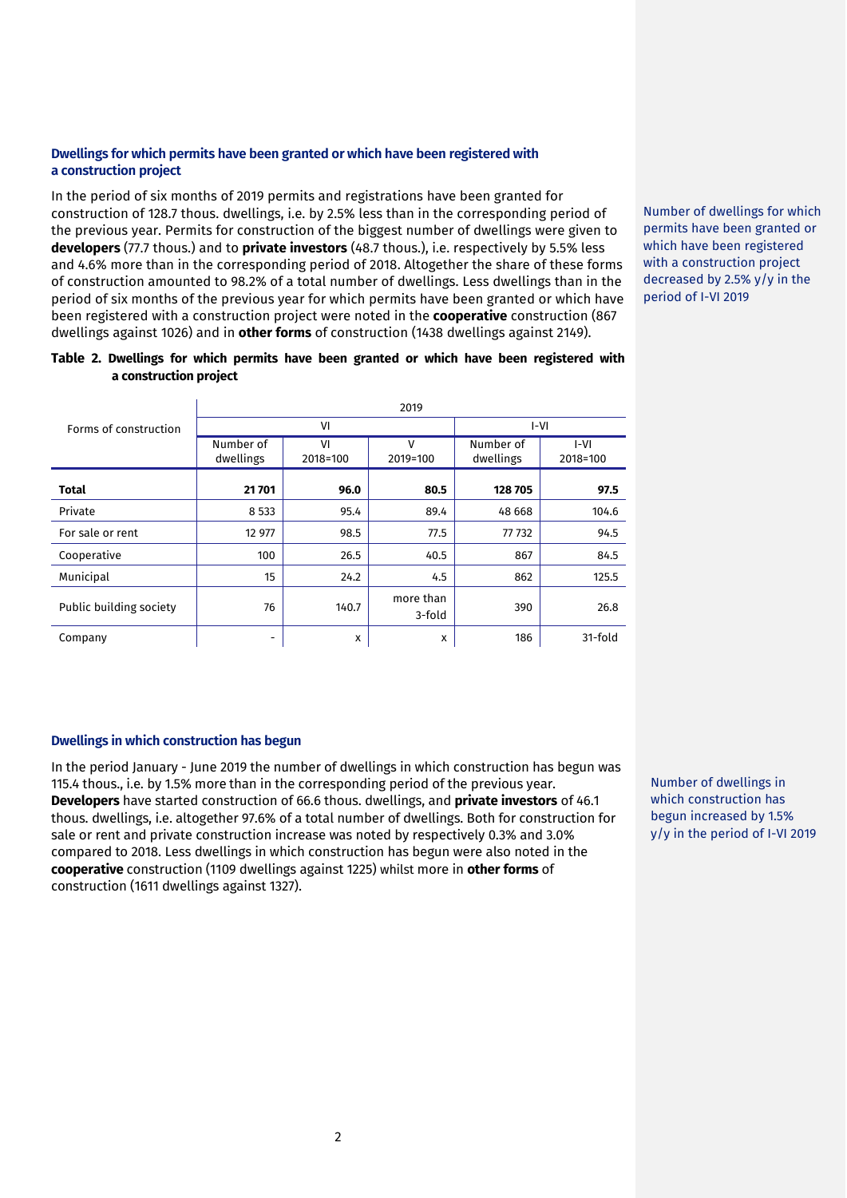### **Dwellings for which permits have been granted or which have been registered with a construction project**

In the period of six months of 2019 permits and registrations have been granted for construction of 128.7 thous. dwellings, i.e. by 2.5% less than in the corresponding period of the previous year. Permits for construction of the biggest number of dwellings were given to **developers** (77.7 thous.) and to **private investors** (48.7 thous.), i.e. respectively by 5.5% less and 4.6% more than in the corresponding period of 2018. Altogether the share of these forms of construction amounted to 98.2% of a total number of dwellings. Less dwellings than in the period of six months of the previous year for which permits have been granted or which have been registered with a construction project were noted in the **cooperative** construction (867 dwellings against 1026) and in **other forms** of construction (1438 dwellings against 2149).

Number of dwellings for which permits have been granted or which have been registered with a construction project decreased by 2.5% y/y in the period of I-VI 2019

#### **Table 2. Dwellings for which permits have been granted or which have been registered with a construction project**

|                         | 2019                   |                |                     |                        |                    |  |
|-------------------------|------------------------|----------------|---------------------|------------------------|--------------------|--|
| Forms of construction   | VI                     |                |                     | I-VI                   |                    |  |
|                         | Number of<br>dwellings | VI<br>2018=100 | v<br>2019=100       | Number of<br>dwellings | $I-VI$<br>2018=100 |  |
| <b>Total</b>            | 21 701                 | 96.0           | 80.5                | 128705                 | 97.5               |  |
| Private                 | 8 5 3 3                | 95.4           | 89.4                | 48 6 68                | 104.6              |  |
| For sale or rent        | 12 977                 | 98.5           | 77.5                | 77 732                 | 94.5               |  |
| Cooperative             | 100                    | 26.5           | 40.5                | 867                    | 84.5               |  |
| Municipal               | 15                     | 24.2           | 4.5                 | 862                    | 125.5              |  |
| Public building society | 76                     | 140.7          | more than<br>3-fold | 390                    | 26.8               |  |
| Company                 | ۰                      | x              | X                   | 186                    | 31-fold            |  |

# **Dwellings in which construction has begun**

In the period January - June 2019 the number of dwellings in which construction has begun was 115.4 thous., i.e. by 1.5% more than in the corresponding period of the previous year. **Developers** have started construction of 66.6 thous. dwellings, and **private investors** of 46.1 thous. dwellings, i.e. altogether 97.6% of a total number of dwellings. Both for construction for sale or rent and private construction increase was noted by respectively 0.3% and 3.0% compared to 2018. Less dwellings in which construction has begun were also noted in the **cooperative** construction (1109 dwellings against 1225) whilst more in **other forms** of construction (1611 dwellings against 1327).

Number of dwellings in which construction has begun increased by 1.5% y/y in the period of I-VI 2019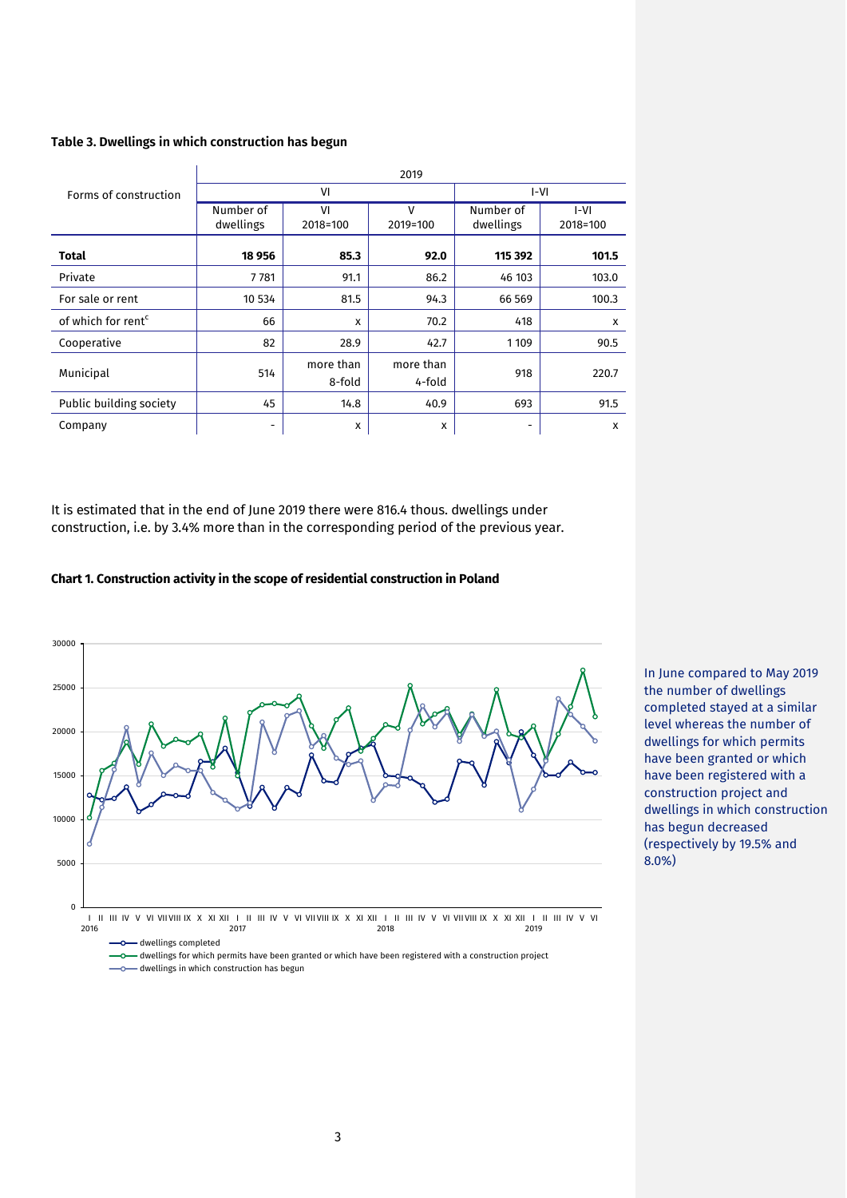#### **Table 3. Dwellings in which construction has begun**

| Forms of construction          | 2019                   |                     |                          |                          |                    |  |
|--------------------------------|------------------------|---------------------|--------------------------|--------------------------|--------------------|--|
|                                | VI                     |                     |                          | I-VI                     |                    |  |
|                                | Number of<br>dwellings | VI<br>2018=100      | $\mathsf{V}$<br>2019=100 | Number of<br>dwellings   | $I-VI$<br>2018=100 |  |
| <b>Total</b>                   | 18 956                 | 85.3                | 92.0                     | 115 392                  | 101.5              |  |
| Private                        | 7781                   | 91.1                | 86.2                     | 46 103                   | 103.0              |  |
| For sale or rent               | 10 534                 | 81.5                | 94.3                     | 66 569                   | 100.3              |  |
| of which for rent <sup>c</sup> | 66                     | X                   | 70.2                     | 418                      | X                  |  |
| Cooperative                    | 82                     | 28.9                | 42.7                     | 1 1 0 9                  | 90.5               |  |
| Municipal                      | 514                    | more than<br>8-fold | more than<br>4-fold      | 918                      | 220.7              |  |
| Public building society        | 45                     | 14.8                | 40.9                     | 693                      | 91.5               |  |
| Company                        | -                      | x                   | x                        | $\overline{\phantom{a}}$ | X                  |  |

It is estimated that in the end of June 2019 there were 816.4 thous. dwellings under construction, i.e. by 3.4% more than in the corresponding period of the previous year.

#### **Chart 1. Construction activity in the scope of residential construction in Poland**



In June compared to May 2019 the number of dwellings completed stayed at a similar level whereas the number of dwellings for which permits have been granted or which have been registered with a construction project and dwellings in which construction has begun decreased (respectively by 19.5% and 8.0%)

 $\bullet$  dwellings for which permits have been granted or which have been registered with a construction project  $-$  dwellings in which construction has begun  $\sim$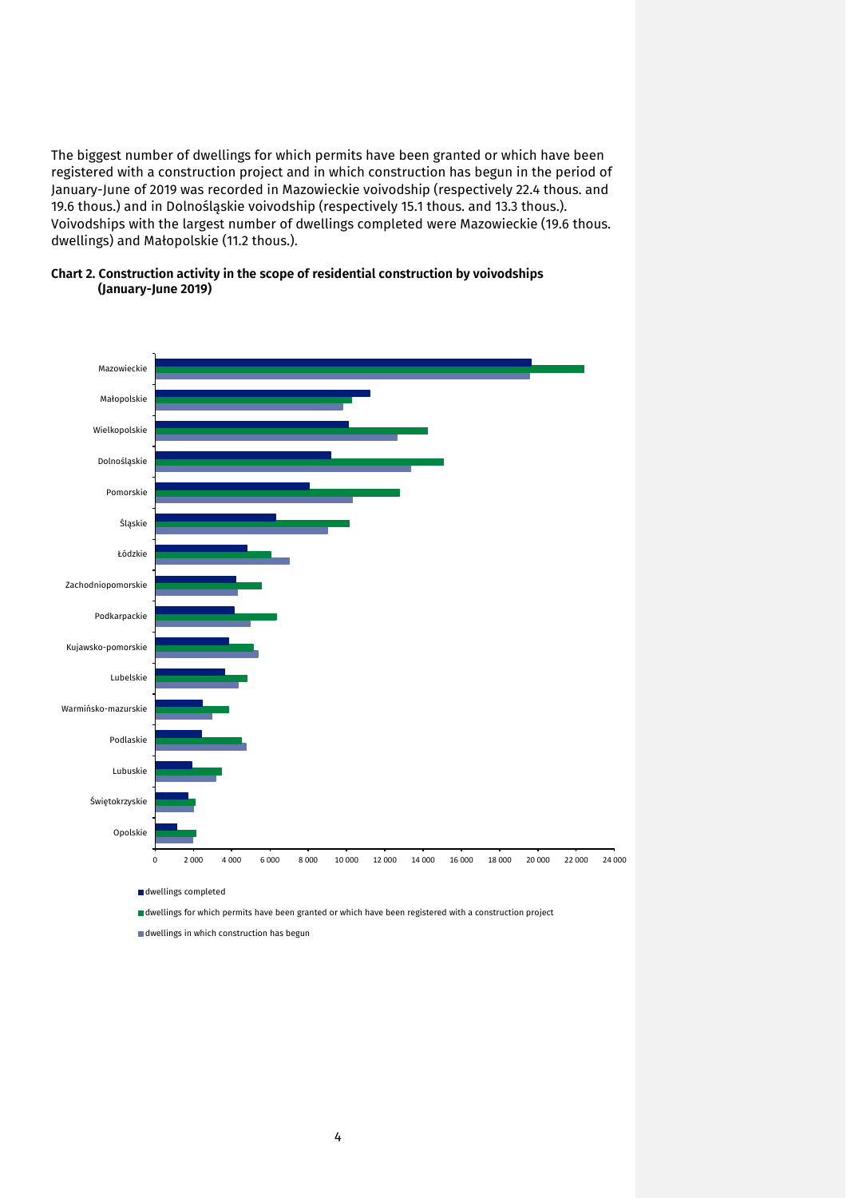The biggest number of dwellings for which permits have been granted or which have been registered with a construction project and in which construction has begun in the period of January-June of 2019 was recorded in Mazowieckie voivodship (respectively 22.4 thous. and 19.6 thous.) and in Dolnośląskie voivodship (respectively 15.1 thous. and 13.3 thous.). Voivodships with the largest number of dwellings completed were Mazowieckie (19.6 thous. dwellings) and Małopolskie (11.2 thous.).





dwellings in which construction has begun